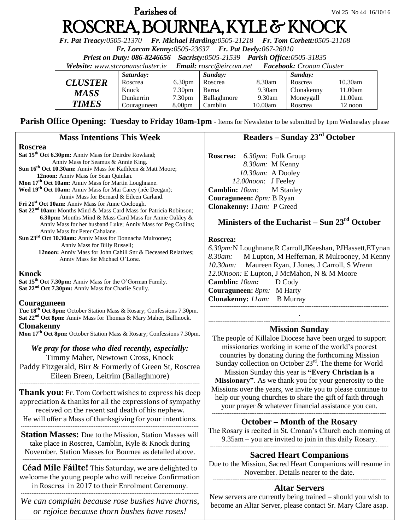# **Parishes of**  $Vol\ 25\ No\ 44\ 16/10/16$ ROSCREA, BOURNEA, KYLE & KNOCK

*Fr. Pat Treacy:0505-21370 Fr. Michael Harding:0505-21218 Fr. Tom Corbett:0505-21108* 

*Fr. Lorcan Kenny:0505-23637 Fr. Pat Deely:067-26010* 

*Priest on Duty: 086-8246656 Sacristy:0505-21539 Parish Office:0505-31835* 

*Website: [www.stcronanscluster.ie](http://www.stcronanscluster.ie/) Email: [rosrc@eircom.net](mailto:rosrc@eircom.net) Facebook: Cronan Cluster* 

|                       | Saturday:   |                    | Sunday:     |         | Sunday:    |                     |
|-----------------------|-------------|--------------------|-------------|---------|------------|---------------------|
| <i><b>CLUSTER</b></i> | Roscrea     | 6.30 <sub>pm</sub> | Roscrea     | 8.30am  | Roscrea    | $10.30$ am          |
| <b>MASS</b>           | Knock       | 7.30 <sub>pm</sub> | Barna       | 9.30am  | Clonakenny | 11.00am             |
|                       | Dunkerrin   | 7.30 <sub>pm</sub> | Ballaghmore | 9.30am  | Moneygall  | <sup>1</sup> 1.00am |
| <b>TIMES</b>          | Couraguneen | 8.00 <sub>pm</sub> | Camblin     | 10.00am | Roscrea    | 12 noon             |

Parish Office Opening: Tuesday to Friday 10am-1pm - Items for Newsletter to be submitted by 1pm Wednesday please

| <b>Mass Intentions This Week</b>                                                                                                                                                                                                                                                                                                                                                                                                                                                                                                                                                                                                                                                                                                                                                                                                                                                                                                                                                                                                                                                                                                                                                                                                                                                                             | Readers – Sunday 23 <sup>rd</sup> October                                                                                                                                                                                                                                                                                                                                                                                                                                                                                                                                                                                                                                                                                                                                                                                                                                                        |  |  |
|--------------------------------------------------------------------------------------------------------------------------------------------------------------------------------------------------------------------------------------------------------------------------------------------------------------------------------------------------------------------------------------------------------------------------------------------------------------------------------------------------------------------------------------------------------------------------------------------------------------------------------------------------------------------------------------------------------------------------------------------------------------------------------------------------------------------------------------------------------------------------------------------------------------------------------------------------------------------------------------------------------------------------------------------------------------------------------------------------------------------------------------------------------------------------------------------------------------------------------------------------------------------------------------------------------------|--------------------------------------------------------------------------------------------------------------------------------------------------------------------------------------------------------------------------------------------------------------------------------------------------------------------------------------------------------------------------------------------------------------------------------------------------------------------------------------------------------------------------------------------------------------------------------------------------------------------------------------------------------------------------------------------------------------------------------------------------------------------------------------------------------------------------------------------------------------------------------------------------|--|--|
| <b>Roscrea</b><br>Sat 15 <sup>th</sup> Oct 6.30pm: Anniv Mass for Deirdre Rowland;<br>Anniv Mass for Seamus & Annie King.<br>Sun 16 <sup>th</sup> Oct 10.30am: Anniv Mass for Kathleen & Matt Moore;<br>12noon: Anniv Mass for Sean Quinlan.<br>Mon 17 <sup>th</sup> Oct 10am: Anniv Mass for Martin Loughnane.<br>Wed 19 <sup>th</sup> Oct 10am: Anniv Mass for Mai Carey (née Deegan);<br>Anniv Mass for Bernard & Eileen Garland.<br>Fri 21 <sup>st</sup> Oct 10am: Anniv Mass for Anne Coclough.<br>Sat 22 <sup>nd</sup> 10am: Months Mind & Mass Card Mass for Patricia Robinson;<br>6.30pm: Months Mind & Mass Card Mass for Annie Oakley &<br>Anniv Mass for her husband Luke; Anniv Mass for Peg Collins;<br>Anniv Mass for Peter Cahalane.<br>Sun 23 <sup>rd</sup> Oct 10.30am: Anniv Mass for Donnacha Mulrooney;<br>Anniv Mass for Billy Russell;<br>12noon: Anniv Mass for John Cahill Snr & Deceased Relatives;<br>Anniv Mass for Michael O'Lone.<br><b>Knock</b><br>Sat 15 <sup>th</sup> Oct 7.30pm: Anniv Mass for the O'Gorman Family.<br>Sat 22 <sup>nd</sup> Oct 7.30pm: Anniv Mass for Charlie Scully.<br>Couraguneen<br>Tue 18 <sup>th</sup> Oct 8pm: October Station Mass & Rosary; Confessions 7.30pm.<br>Sat 22 <sup>nd</sup> Oct 8pm: Anniv Mass for Thomas & Mary Maher, Ballinock. | Roscrea: 6.30pm: Folk Group<br>8.30am: M Kenny<br>10.30am: A Dooley<br>12.00noon: J Feeley<br>Camblin: 10am:<br><b>M</b> Stanley<br>Couraguneen: 8pm: B Ryan<br>Clonakenny: 11am: P Greed<br>Ministers of the Eucharist – Sun $23rd$ October<br>Roscrea:<br>6.30pm:N Loughnane, R Carroll, JKeeshan, PJHassett, ETynan<br>8.30am: M Lupton, M Heffernan, R Mulrooney, M Kenny<br>10.30am: Maureen Ryan, J Jones, J Carroll, S Wrenn<br>12.00noon: E Lupton, J McMahon, N & M Moore<br>Camblin: 10am:<br>D Cody<br>Couraguneen: 8pm: M Harty<br>Clonakenny: 11am: B Murray<br><b>Mission Sunday</b><br>The people of Killaloe Diocese have been urged to support<br>missionaries working in some of the world's poorest<br>countries by donating during the forthcoming Mission<br>Sunday collection on October $23rd$ . The theme for World<br>Mission Sunday this year is "Every Christian is a |  |  |
| <b>Clonakenny</b><br>Mon 17 <sup>th</sup> Oct 8pm: October Station Mass & Rosary; Confessions 7.30pm.<br>We pray for those who died recently, especially:<br>Timmy Maher, Newtown Cross, Knock<br>Paddy Fitzgerald, Birr & Formerly of Green St, Roscrea<br>Eileen Breen, Leitrim (Ballaghmore)                                                                                                                                                                                                                                                                                                                                                                                                                                                                                                                                                                                                                                                                                                                                                                                                                                                                                                                                                                                                              |                                                                                                                                                                                                                                                                                                                                                                                                                                                                                                                                                                                                                                                                                                                                                                                                                                                                                                  |  |  |
| <b>Thank you:</b> Fr. Tom Corbett wishes to express his deep<br>appreciation & thanks for all the expressions of sympathy<br>received on the recent sad death of his nephew.<br>He will offer a Mass of thanksgiving for your intentions.                                                                                                                                                                                                                                                                                                                                                                                                                                                                                                                                                                                                                                                                                                                                                                                                                                                                                                                                                                                                                                                                    | Missionary". As we thank you for your generosity to the<br>Missions over the years, we invite you to please continue to<br>help our young churches to share the gift of faith through<br>your prayer & whatever financial assistance you can.                                                                                                                                                                                                                                                                                                                                                                                                                                                                                                                                                                                                                                                    |  |  |
| <b>Station Masses:</b> Due to the Mission, Station Masses will<br>take place in Roscrea, Camblin, Kyle & Knock during<br>November. Station Masses for Bournea as detailed above.                                                                                                                                                                                                                                                                                                                                                                                                                                                                                                                                                                                                                                                                                                                                                                                                                                                                                                                                                                                                                                                                                                                             | <b>October - Month of the Rosary</b><br>The Rosary is recited in St. Cronan's Church each morning at<br>$9.35$ am – you are invited to join in this daily Rosary.<br><b>Sacred Heart Companions</b><br>Due to the Mission, Sacred Heart Companions will resume in<br>November. Details nearer to the date.<br><b>Altar Servers</b>                                                                                                                                                                                                                                                                                                                                                                                                                                                                                                                                                               |  |  |
| <b>Céad Míle Fáilte!</b> This Saturday, we are delighted to<br>welcome the young people who will receive Confirmation<br>in Roscrea in 2017 to their Enrolment Ceremony.                                                                                                                                                                                                                                                                                                                                                                                                                                                                                                                                                                                                                                                                                                                                                                                                                                                                                                                                                                                                                                                                                                                                     |                                                                                                                                                                                                                                                                                                                                                                                                                                                                                                                                                                                                                                                                                                                                                                                                                                                                                                  |  |  |
| We can complain because rose bushes have thorns,<br>or rejoice because thorn bushes have roses!                                                                                                                                                                                                                                                                                                                                                                                                                                                                                                                                                                                                                                                                                                                                                                                                                                                                                                                                                                                                                                                                                                                                                                                                              | New servers are currently being trained – should you wish to<br>become an Altar Server, please contact Sr. Mary Clare asap.                                                                                                                                                                                                                                                                                                                                                                                                                                                                                                                                                                                                                                                                                                                                                                      |  |  |